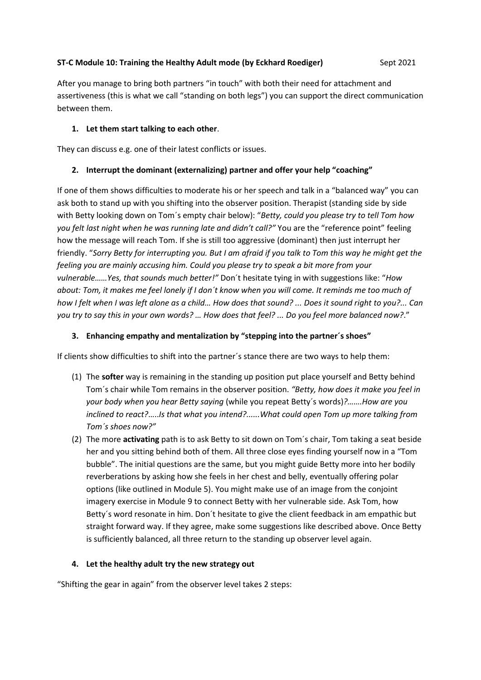## **ST-C Module 10: Training the Healthy Adult mode (by Eckhard Roediger)** Sept 2021

After you manage to bring both partners "in touch" with both their need for attachment and assertiveness (this is what we call "standing on both legs") you can support the direct communication between them.

### **1. Let them start talking to each other**.

They can discuss e.g. one of their latest conflicts or issues.

### **2. Interrupt the dominant (externalizing) partner and offer your help "coaching"**

If one of them shows difficulties to moderate his or her speech and talk in a "balanced way" you can ask both to stand up with you shifting into the observer position. Therapist (standing side by side with Betty looking down on Tom´s empty chair below): "*Betty, could you please try to tell Tom how you felt last night when he was running late and didn't call?"* You are the "reference point" feeling how the message will reach Tom. If she is still too aggressive (dominant) then just interrupt her friendly. "*Sorry Betty for interrupting you. But I am afraid if you talk to Tom this way he might get the feeling you are mainly accusing him. Could you please try to speak a bit more from your vulnerable……Yes, that sounds much better!"* Don´t hesitate tying in with suggestions like: "*How about: Tom, it makes me feel lonely if I don´t know when you will come. It reminds me too much of how I felt when I was left alone as a child… How does that sound? ... Does it sound right to you?... Can you try to say this in your own words? … How does that feel? ... Do you feel more balanced now?*."

## **3. Enhancing empathy and mentalization by "stepping into the partner´s shoes"**

If clients show difficulties to shift into the partner´s stance there are two ways to help them:

- (1) The **softer** way is remaining in the standing up position put place yourself and Betty behind Tom´s chair while Tom remains in the observer position. *"Betty, how does it make you feel in your body when you hear Betty saying* (while you repeat Betty´s words)*?…….How are you inclined to react?*…..*Is that what you intend?......What could open Tom up more talking from Tom´s shoes now?"*
- (2) The more **activating** path is to ask Betty to sit down on Tom´s chair, Tom taking a seat beside her and you sitting behind both of them. All three close eyes finding yourself now in a "Tom bubble". The initial questions are the same, but you might guide Betty more into her bodily reverberations by asking how she feels in her chest and belly, eventually offering polar options (like outlined in Module 5). You might make use of an image from the conjoint imagery exercise in Module 9 to connect Betty with her vulnerable side. Ask Tom, how Betty´s word resonate in him. Don´t hesitate to give the client feedback in am empathic but straight forward way. If they agree, make some suggestions like described above. Once Betty is sufficiently balanced, all three return to the standing up observer level again.

# **4. Let the healthy adult try the new strategy out**

"Shifting the gear in again" from the observer level takes 2 steps: